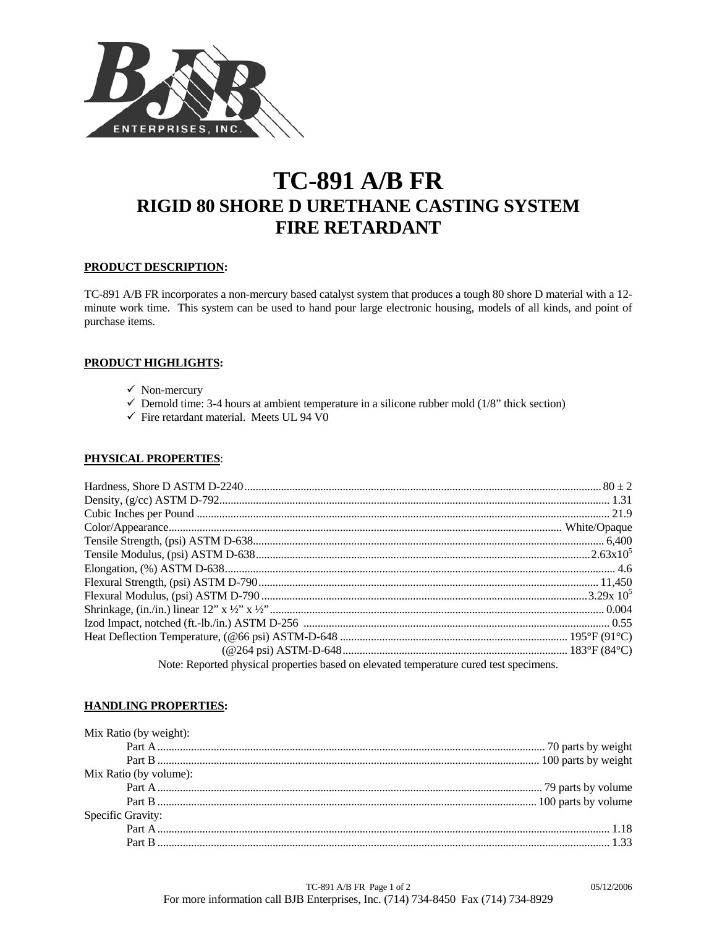

# **TC-891 A/B FR RIGID 80 SHORE D URETHANE CASTING SYSTEM FIRE RETARDANT**

## **PRODUCT DESCRIPTION:**

TC-891 A/B FR incorporates a non-mercury based catalyst system that produces a tough 80 shore D material with a 12 minute work time. This system can be used to hand pour large electronic housing, models of all kinds, and point of purchase items.

## **PRODUCT HIGHLIGHTS:**

- $\checkmark$  Non-mercury
- $\checkmark$  Demold time: 3-4 hours at ambient temperature in a silicone rubber mold (1/8" thick section)
- $\checkmark$  Fire retardant material. Meets UL 94 V0

## **PHYSICAL PROPERTIES**:

| Note: Reported physical properties based on elevated temperature cured test specimens. |  |
|----------------------------------------------------------------------------------------|--|

## **HANDLING PROPERTIES:**

| Mix Ratio (by volume): |  |
|------------------------|--|
|                        |  |
|                        |  |
| Specific Gravity:      |  |
|                        |  |
|                        |  |